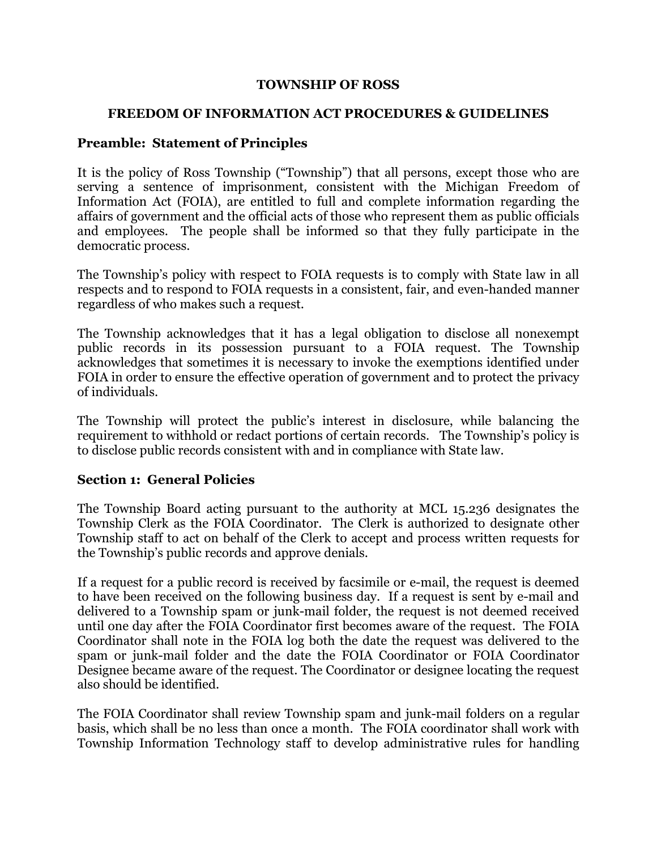#### **TOWNSHIP OF ROSS**

#### **FREEDOM OF INFORMATION ACT PROCEDURES & GUIDELINES**

## **Preamble: Statement of Principles**

 It is the policy of Ross Township ("Township") that all persons, except those who are serving a sentence of imprisonment*,* consistent with the Michigan Freedom of Information Act (FOIA), are entitled to full and complete information regarding the affairs of government and the official acts of those who represent them as public officials and employees. The people shall be informed so that they fully participate in the democratic process.

 The Township's policy with respect to FOIA requests is to comply with State law in all respects and to respond to FOIA requests in a consistent, fair, and even-handed manner regardless of who makes such a request.

 The Township acknowledges that it has a legal obligation to disclose all nonexempt public records in its possession pursuant to a FOIA request. The Township acknowledges that sometimes it is necessary to invoke the exemptions identified under FOIA in order to ensure the effective operation of government and to protect the privacy of individuals.

 The Township will protect the public's interest in disclosure, while balancing the requirement to withhold or redact portions of certain records. The Township's policy is to disclose public records consistent with and in compliance with State law.

### **Section 1: General Policies**

 The Township Board acting pursuant to the authority at MCL 15.236 designates the Township Clerk as the FOIA Coordinator. The Clerk is authorized to designate other Township staff to act on behalf of the Clerk to accept and process written requests for the Township's public records and approve denials.

If a request for a public record is received by facsimile or e-mail, the request is deemed to have been received on the following business day. If a request is sent by e-mail and delivered to a Township spam or junk-mail folder, the request is not deemed received until one day after the FOIA Coordinator first becomes aware of the request. The FOIA Coordinator shall note in the FOIA log both the date the request was delivered to the spam or junk-mail folder and the date the FOIA Coordinator or FOIA Coordinator Designee became aware of the request. The Coordinator or designee locating the request also should be identified.

The FOIA Coordinator shall review Township spam and junk-mail folders on a regular basis, which shall be no less than once a month. The FOIA coordinator shall work with Township Information Technology staff to develop administrative rules for handling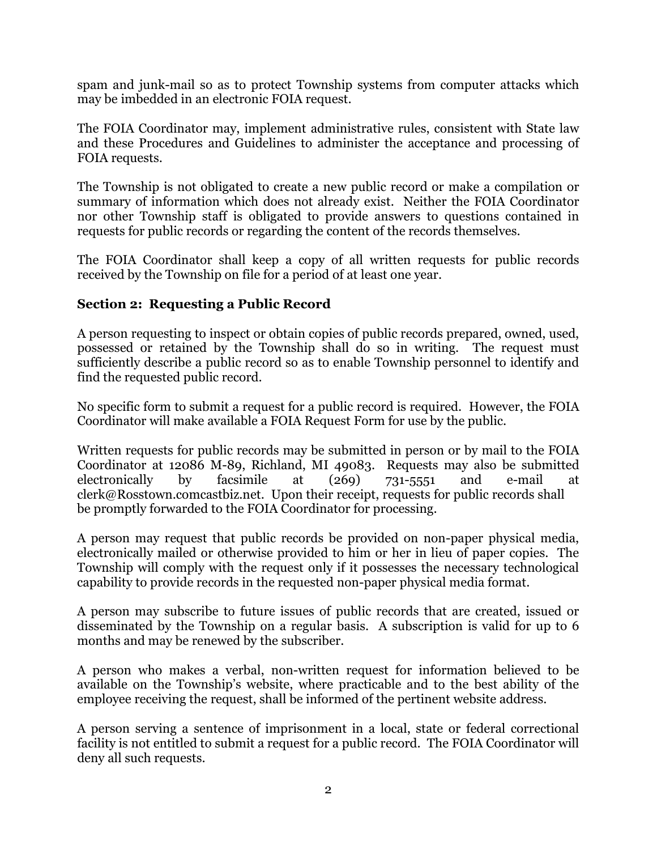spam and junk-mail so as to protect Township systems from computer attacks which may be imbedded in an electronic FOIA request.

 The FOIA Coordinator may, implement administrative rules, consistent with State law and these Procedures and Guidelines to administer the acceptance and processing of FOIA requests.

 The Township is not obligated to create a new public record or make a compilation or summary of information which does not already exist. Neither the FOIA Coordinator nor other Township staff is obligated to provide answers to questions contained in requests for public records or regarding the content of the records themselves.

 The FOIA Coordinator shall keep a copy of all written requests for public records received by the Township on file for a period of at least one year.

## **Section 2: Requesting a Public Record**

 A person requesting to inspect or obtain copies of public records prepared, owned, used, possessed or retained by the Township shall do so in writing. The request must sufficiently describe a public record so as to enable Township personnel to identify and find the requested public record.

 No specific form to submit a request for a public record is required. However, the FOIA Coordinator will make available a FOIA Request Form for use by the public.

 Written requests for public records may be submitted in person or by mail to the FOIA by facsimile at  $(269)$   $731-5551$  and e-mail at clerk@Rosstown.comcastbiz.net. Upon their receipt, requests for public records shall be promptly forwarded to the FOIA Coordinator for processing. Coordinator at 12086 M-89, Richland, MI 49083. Requests may also be submitted electronically

A person may request that public records be provided on non-paper physical media, electronically mailed or otherwise provided to him or her in lieu of paper copies. The Township will comply with the request only if it possesses the necessary technological capability to provide records in the requested non-paper physical media format.

 A person may subscribe to future issues of public records that are created, issued or disseminated by the Township on a regular basis. A subscription is valid for up to 6 months and may be renewed by the subscriber.

A person who makes a verbal, non-written request for information believed to be available on the Township's website, where practicable and to the best ability of the employee receiving the request, shall be informed of the pertinent website address.

 A person serving a sentence of imprisonment in a local, state or federal correctional facility is not entitled to submit a request for a public record. The FOIA Coordinator will deny all such requests.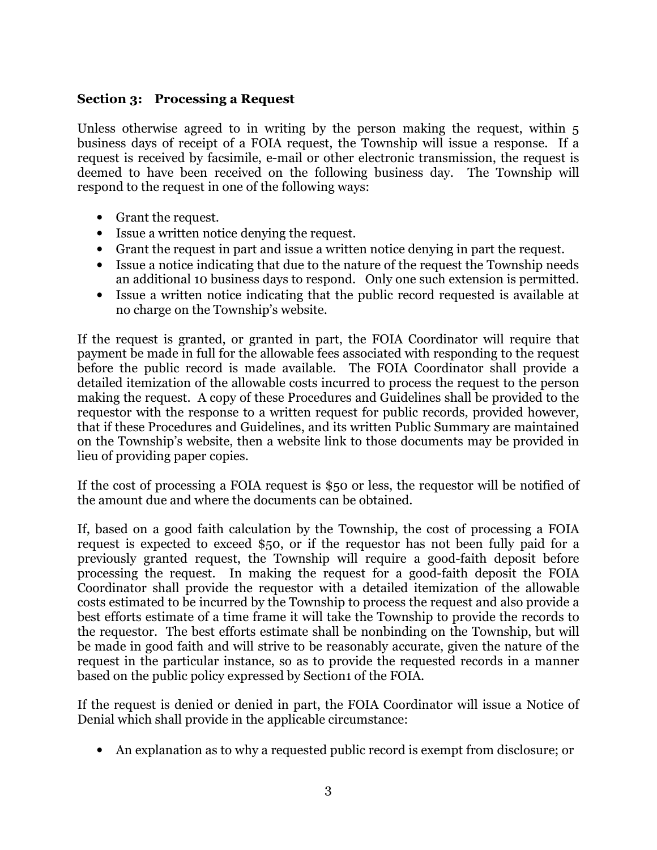### **Section 3: Processing a Request**

 Unless otherwise agreed to in writing by the person making the request, within 5 business days of receipt of a FOIA request, the Township will issue a response. If a request is received by facsimile, e-mail or other electronic transmission, the request is deemed to have been received on the following business day. The Township will respond to the request in one of the following ways:

- • Grant the request.
- • Issue a written notice denying the request.
- • Grant the request in part and issue a written notice denying in part the request.
- • Issue a notice indicating that due to the nature of the request the Township needs an additional 10 business days to respond. Only one such extension is permitted.
- • Issue a written notice indicating that the public record requested is available at no charge on the Township's website.

 If the request is granted, or granted in part, the FOIA Coordinator will require that payment be made in full for the allowable fees associated with responding to the request before the public record is made available. The FOIA Coordinator shall provide a detailed itemization of the allowable costs incurred to process the request to the person making the request. A copy of these Procedures and Guidelines shall be provided to the requestor with the response to a written request for public records, provided however, that if these Procedures and Guidelines, and its written Public Summary are maintained on the Township's website, then a website link to those documents may be provided in lieu of providing paper copies.

 If the cost of processing a FOIA request is \$50 or less, the requestor will be notified of the amount due and where the documents can be obtained.

 If, based on a good faith calculation by the Township, the cost of processing a FOIA request is expected to exceed \$50, or if the requestor has not been fully paid for a previously granted request, the Township will require a good-faith deposit before processing the request. In making the request for a good-faith deposit the FOIA Coordinator shall provide the requestor with a detailed itemization of the allowable costs estimated to be incurred by the Township to process the request and also provide a best efforts estimate of a time frame it will take the Township to provide the records to the requestor. The best efforts estimate shall be nonbinding on the Township, but will be made in good faith and will strive to be reasonably accurate, given the nature of the request in the particular instance, so as to provide the requested records in a manner based on the public policy expressed by Section1 of the FOIA.

 If the request is denied or denied in part, the FOIA Coordinator will issue a Notice of Denial which shall provide in the applicable circumstance:

• An explanation as to why a requested public record is exempt from disclosure; or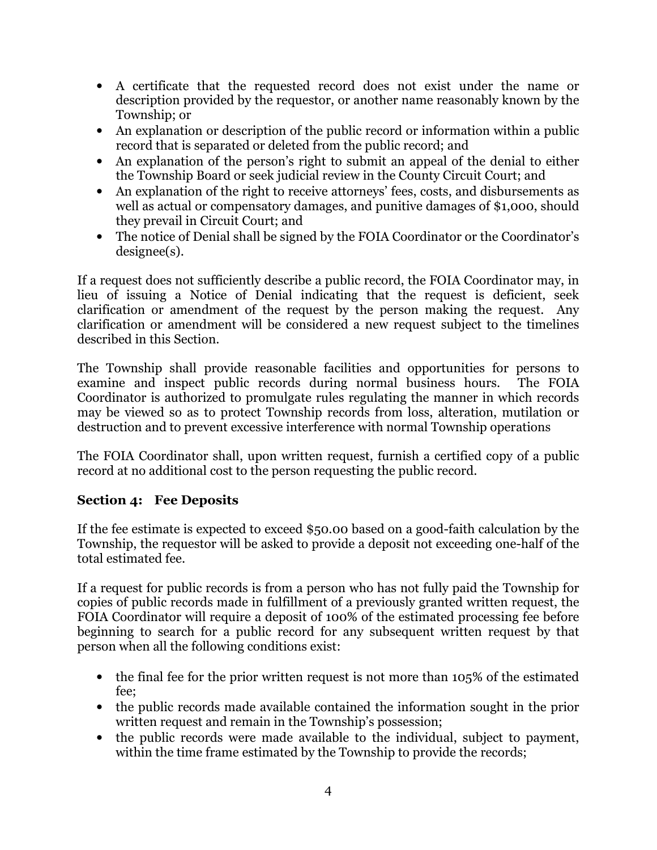- • A certificate that the requested record does not exist under the name or description provided by the requestor, or another name reasonably known by the Township; or
- • An explanation or description of the public record or information within a public record that is separated or deleted from the public record; and
- • An explanation of the person's right to submit an appeal of the denial to either the Township Board or seek judicial review in the County Circuit Court; and
- • An explanation of the right to receive attorneys' fees, costs, and disbursements as well as actual or compensatory damages, and punitive damages of \$1,000, should they prevail in Circuit Court; and
- • The notice of Denial shall be signed by the FOIA Coordinator or the Coordinator's designee(s).

 If a request does not sufficiently describe a public record, the FOIA Coordinator may, in lieu of issuing a Notice of Denial indicating that the request is deficient, seek clarification or amendment of the request by the person making the request. Any clarification or amendment will be considered a new request subject to the timelines described in this Section.

 The Township shall provide reasonable facilities and opportunities for persons to examine and inspect public records during normal business hours. The FOIA Coordinator is authorized to promulgate rules regulating the manner in which records may be viewed so as to protect Township records from loss, alteration, mutilation or destruction and to prevent excessive interference with normal Township operations

 The FOIA Coordinator shall, upon written request, furnish a certified copy of a public record at no additional cost to the person requesting the public record.

## **Section 4: Fee Deposits**

If the fee estimate is expected to exceed \$50.00 based on a good-faith calculation by the Township, the requestor will be asked to provide a deposit not exceeding one-half of the total estimated fee.

 If a request for public records is from a person who has not fully paid the Township for copies of public records made in fulfillment of a previously granted written request, the FOIA Coordinator will require a deposit of 100% of the estimated processing fee before beginning to search for a public record for any subsequent written request by that person when all the following conditions exist:

- the final fee for the prior written request is not more than 105% of the estimated fee;
- • the public records made available contained the information sought in the prior written request and remain in the Township's possession;
- the public records were made available to the individual, subject to payment, within the time frame estimated by the Township to provide the records;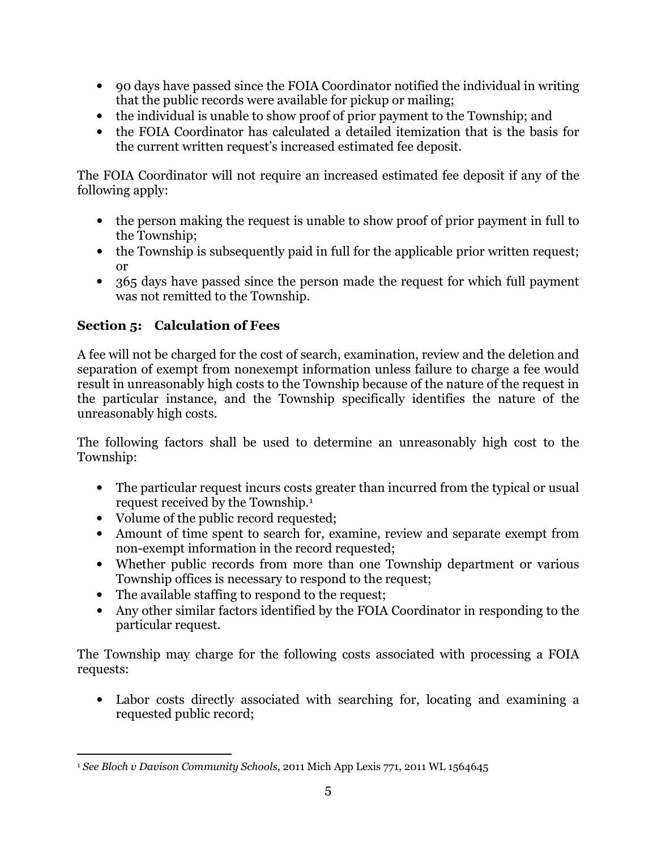- • 90 days have passed since the FOIA Coordinator notified the individual in writing that the public records were available for pickup or mailing;
- the individual is unable to show proof of prior payment to the Township; and
- • the FOIA Coordinator has calculated a detailed itemization that is the basis for the current written request's increased estimated fee deposit.

 The FOIA Coordinator will not require an increased estimated fee deposit if any of the following apply:

- the person making the request is unable to show proof of prior payment in full to the Township;
- the Township is subsequently paid in full for the applicable prior written request; or
- • 365 days have passed since the person made the request for which full payment was not remitted to the Township.

# **Section 5: Calculation of Fees**

 A fee will not be charged for the cost of search, examination, review and the deletion and separation of exempt from nonexempt information unless failure to charge a fee would result in unreasonably high costs to the Township because of the nature of the request in the particular instance, and the Township specifically identifies the nature of the unreasonably high costs.

 The following factors shall be used to determine an unreasonably high cost to the Township:

- • The particular request incurs costs greater than incurred from the typical or usual request received by the Township.1
- • Volume of the public record requested;
- • Amount of time spent to search for, examine, review and separate exempt from non-exempt information in the record requested;
- • Whether public records from more than one Township department or various Township offices is necessary to respond to the request;
- • The available staffing to respond to the request;
- • Any other similar factors identified by the FOIA Coordinator in responding to the particular request.

 The Township may charge for the following costs associated with processing a FOIA requests:

 • Labor costs directly associated with searching for, locating and examining a requested public record;

  <sup>1</sup> *See Bloch v Davison Community Schools*, 2011 Mich App Lexis 771, 2011 WL 1564645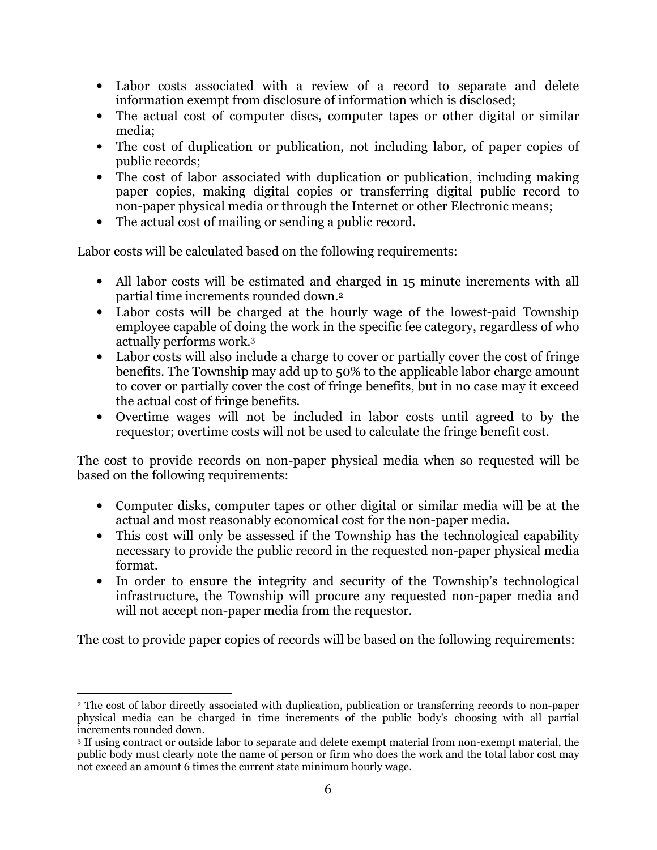- • Labor costs associated with a review of a record to separate and delete information exempt from disclosure of information which is disclosed;
- The actual cost of computer discs, computer tapes or other digital or similar media;
- • The cost of duplication or publication, not including labor, of paper copies of public records;
- The cost of labor associated with duplication or publication, including making paper copies, making digital copies or transferring digital public record to non-paper physical media or through the Internet or other Electronic means;
- The actual cost of mailing or sending a public record.

Labor costs will be calculated based on the following requirements:

- • All labor costs will be estimated and charged in 15 minute increments with all partial time increments rounded down.2
- Labor costs will be charged at the hourly wage of the lowest-paid Township employee capable of doing the work in the specific fee category, regardless of who actually performs work.3
- • Labor costs will also include a charge to cover or partially cover the cost of fringe benefits. The Township may add up to 50% to the applicable labor charge amount to cover or partially cover the cost of fringe benefits, but in no case may it exceed the actual cost of fringe benefits.
- • Overtime wages will not be included in labor costs until agreed to by the requestor; overtime costs will not be used to calculate the fringe benefit cost.

The cost to provide records on non-paper physical media when so requested will be based on the following requirements:

- • Computer disks, computer tapes or other digital or similar media will be at the actual and most reasonably economical cost for the non-paper media.
- • This cost will only be assessed if the Township has the technological capability necessary to provide the public record in the requested non-paper physical media format.
- • In order to ensure the integrity and security of the Township's technological infrastructure, the Township will procure any requested non-paper media and will not accept non-paper media from the requestor.

The cost to provide paper copies of records will be based on the following requirements:

 <sup>2</sup> The cost of labor directly associated with duplication, publication or transferring records to nonpaper physical media can be charged in time increments of the public body's choosing with all partial increments rounded down.

 <sup>3</sup> If using contract or outside labor to separate and delete exempt material from nonexempt material, the public body must clearly note the name of person or firm who does the work and the total labor cost may not exceed an amount 6 times the current state minimum hourly wage.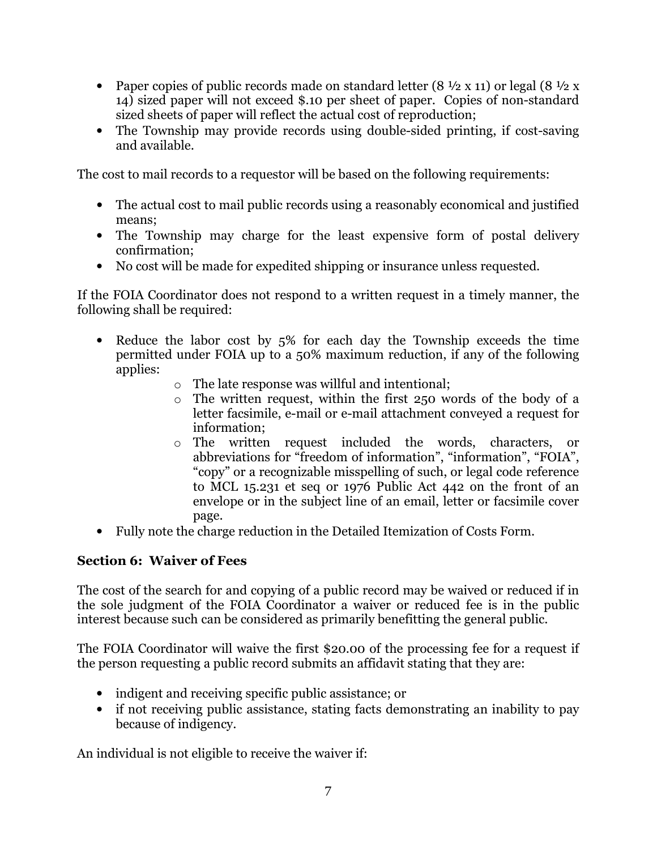- Paper copies of public records made on standard letter (8  $\frac{1}{2}$  x 11) or legal (8  $\frac{1}{2}$  x 14) sized paper will not exceed \$.10 per sheet of paper. Copies of non-standard sized sheets of paper will reflect the actual cost of reproduction;
- The Township may provide records using double-sided printing, if cost-saving and available.

The cost to mail records to a requestor will be based on the following requirements:

- The actual cost to mail public records using a reasonably economical and justified means;
- • The Township may charge for the least expensive form of postal delivery confirmation;
- • No cost will be made for expedited shipping or insurance unless requested.

 If the FOIA Coordinator does not respond to a written request in a timely manner, the following shall be required:

- • Reduce the labor cost by 5% for each day the Township exceeds the time permitted under FOIA up to a 50% maximum reduction, if any of the following applies:
	- o The late response was willful and intentional;
	- $\circ$  The written request, within the first 250 words of the body of a letter facsimile, e-mail or e-mail attachment conveyed a request for information;
	- o The written request included the words, characters, or abbreviations for "freedom of information", "information", "FOIA", "copy" or a recognizable misspelling of such, or legal code reference to MCL 15.231 et seq or 1976 Public Act 442 on the front of an envelope or in the subject line of an email, letter or facsimile cover page.
- • Fully note the charge reduction in the Detailed Itemization of Costs Form.

# **Section 6: Waiver of Fees**

 The cost of the search for and copying of a public record may be waived or reduced if in the sole judgment of the FOIA Coordinator a waiver or reduced fee is in the public interest because such can be considered as primarily benefitting the general public.

 The FOIA Coordinator will waive the first \$20.00 of the processing fee for a request if the person requesting a public record submits an affidavit stating that they are:

- • indigent and receiving specific public assistance; or
- • if not receiving public assistance, stating facts demonstrating an inability to pay because of indigency.

An individual is not eligible to receive the waiver if: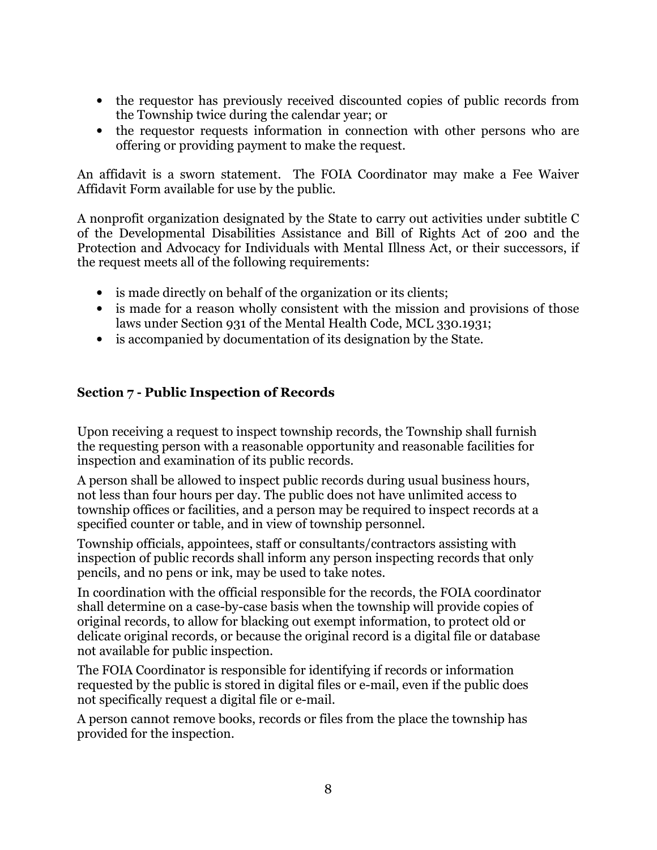- • the requestor has previously received discounted copies of public records from the Township twice during the calendar year; or
- • the requestor requests information in connection with other persons who are offering or providing payment to make the request.

 An affidavit is a sworn statement. The FOIA Coordinator may make a Fee Waiver Affidavit Form available for use by the public.

 A nonprofit organization designated by the State to carry out activities under subtitle C of the Developmental Disabilities Assistance and Bill of Rights Act of 200 and the Protection and Advocacy for Individuals with Mental Illness Act, or their successors, if the request meets all of the following requirements:

- is made directly on behalf of the organization or its clients;
- is made for a reason wholly consistent with the mission and provisions of those laws under Section 931 of the Mental Health Code, MCL 330.1931;
- • is accompanied by documentation of its designation by the State.

# **Section 7 Public Inspection of Records**

 Upon receiving a request to inspect township records, the Township shall furnish the requesting person with a reasonable opportunity and reasonable facilities for inspection and examination of its public records.

 A person shall be allowed to inspect public records during usual business hours, not less than four hours per day. The public does not have unlimited access to township offices or facilities, and a person may be required to inspect records at a specified counter or table, and in view of township personnel.

 Township officials, appointees, staff or consultants/contractors assisting with inspection of public records shall inform any person inspecting records that only pencils, and no pens or ink, may be used to take notes.

 In coordination with the official responsible for the records, the FOIA coordinator shall determine on a case-by-case basis when the township will provide copies of original records, to allow for blacking out exempt information, to protect old or delicate original records, or because the original record is a digital file or database not available for public inspection.

 The FOIA Coordinator is responsible for identifying if records or information requested by the public is stored in digital files or e-mail, even if the public does not specifically request a digital file or e-mail.

 A person cannot remove books, records or files from the place the township has provided for the inspection.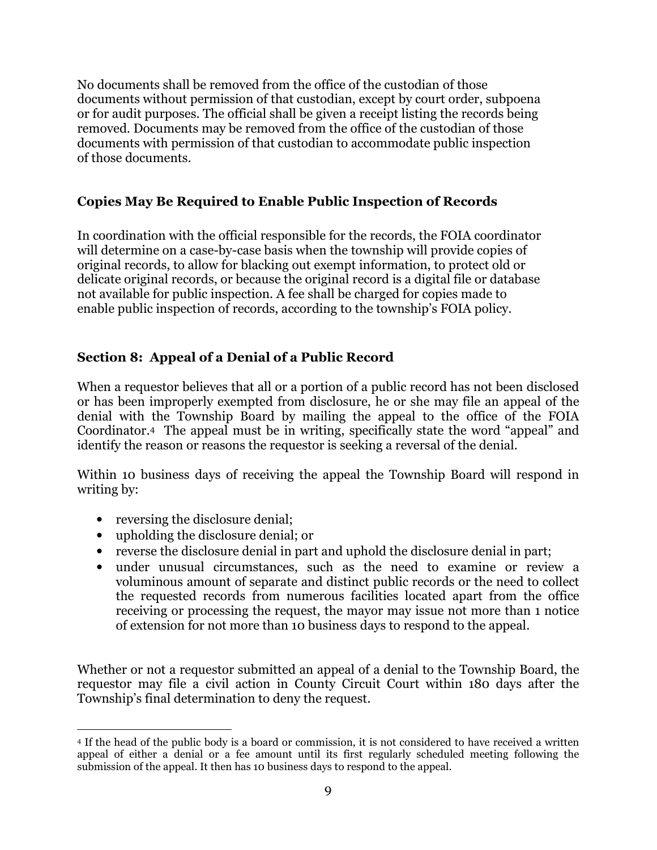No documents shall be removed from the office of the custodian of those documents without permission of that custodian, except by court order, subpoena or for audit purposes. The official shall be given a receipt listing the records being removed. Documents may be removed from the office of the custodian of those documents with permission of that custodian to accommodate public inspection of those documents.

## **Copies May Be Required to Enable Public Inspection of Records**

 In coordination with the official responsible for the records, the FOIA coordinator will determine on a case-by-case basis when the township will provide copies of original records, to allow for blacking out exempt information, to protect old or delicate original records, or because the original record is a digital file or database not available for public inspection. A fee shall be charged for copies made to enable public inspection of records, according to the township's FOIA policy.

# **Section 8: Appeal of a Denial of a Public Record**

 When a requestor believes that all or a portion of a public record has not been disclosed or has been improperly exempted from disclosure, he or she may file an appeal of the denial with the Township Board by mailing the appeal to the office of the FOIA Coordinator.4 The appeal must be in writing, specifically state the word "appeal" and identify the reason or reasons the requestor is seeking a reversal of the denial.

 Within 10 business days of receiving the appeal the Township Board will respond in writing by:

- reversing the disclosure denial;
- • upholding the disclosure denial; or
- • reverse the disclosure denial in part and uphold the disclosure denial in part;
- • under unusual circumstances, such as the need to examine or review a voluminous amount of separate and distinct public records or the need to collect the requested records from numerous facilities located apart from the office receiving or processing the request, the mayor may issue not more than 1 notice of extension for not more than 10 business days to respond to the appeal.

 Whether or not a requestor submitted an appeal of a denial to the Township Board, the requestor may file a civil action in County Circuit Court within 180 days after the Township's final determination to deny the request.

 <sup>4</sup> If the head of the public body is a board or commission, it is not considered to have received a written appeal of either a denial or a fee amount until its first regularly scheduled meeting following the submission of the appeal. It then has 10 business days to respond to the appeal.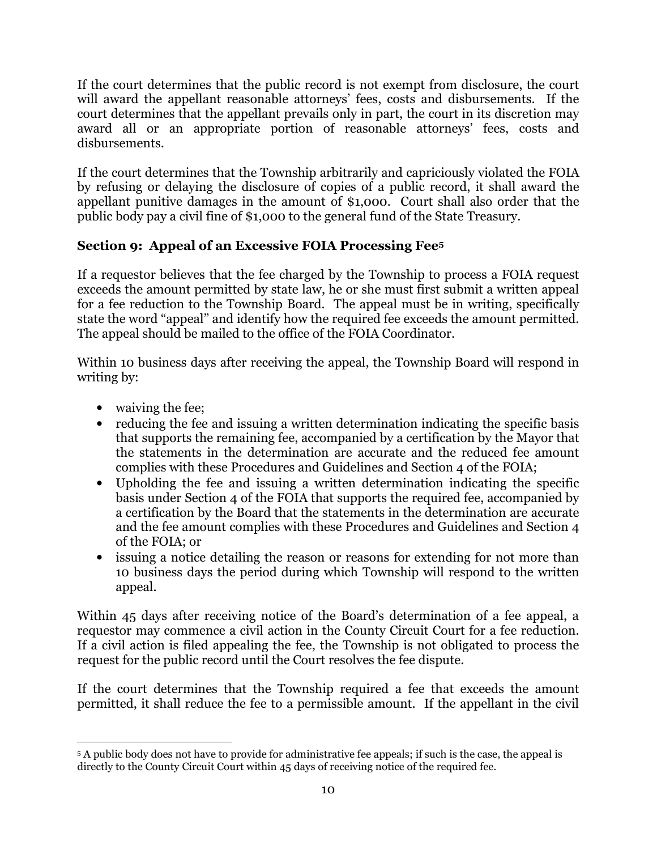If the court determines that the public record is not exempt from disclosure, the court will award the appellant reasonable attorneys' fees, costs and disbursements. If the court determines that the appellant prevails only in part, the court in its discretion may award all or an appropriate portion of reasonable attorneys' fees, costs and disbursements.

 If the court determines that the Township arbitrarily and capriciously violated the FOIA by refusing or delaying the disclosure of copies of a public record, it shall award the appellant punitive damages in the amount of \$1,000. Court shall also order that the public body pay a civil fine of \$1,000 to the general fund of the State Treasury.

# **Section 9: Appeal of an Excessive FOIA Processing Fee5**

 If a requestor believes that the fee charged by the Township to process a FOIA request exceeds the amount permitted by state law, he or she must first submit a written appeal for a fee reduction to the Township Board. The appeal must be in writing, specifically state the word "appeal" and identify how the required fee exceeds the amount permitted. The appeal should be mailed to the office of the FOIA Coordinator.

 Within 10 business days after receiving the appeal, the Township Board will respond in writing by:

- waiving the fee;
- • reducing the fee and issuing a written determination indicating the specific basis that supports the remaining fee, accompanied by a certification by the Mayor that the statements in the determination are accurate and the reduced fee amount complies with these Procedures and Guidelines and Section 4 of the FOIA;
- • Upholding the fee and issuing a written determination indicating the specific basis under Section 4 of the FOIA that supports the required fee, accompanied by a certification by the Board that the statements in the determination are accurate and the fee amount complies with these Procedures and Guidelines and Section 4 of the FOIA; or
- • issuing a notice detailing the reason or reasons for extending for not more than 10 business days the period during which Township will respond to the written appeal.

 Within 45 days after receiving notice of the Board's determination of a fee appeal, a requestor may commence a civil action in the County Circuit Court for a fee reduction. If a civil action is filed appealing the fee, the Township is not obligated to process the request for the public record until the Court resolves the fee dispute.

 If the court determines that the Township required a fee that exceeds the amount permitted, it shall reduce the fee to a permissible amount. If the appellant in the civil

 <sup>5</sup> A public body does not have to provide for administrative fee appeals; if such is the case, the appeal is directly to the County Circuit Court within 45 days of receiving notice of the required fee.